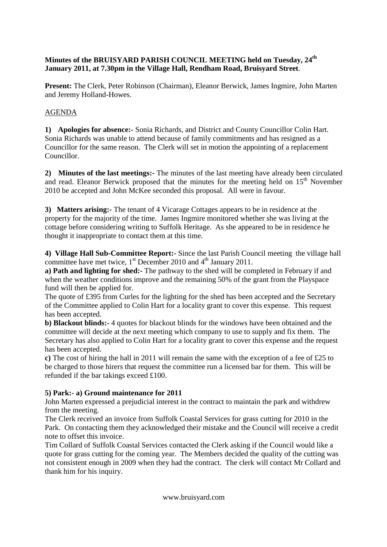## **Minutes of the BRUISYARD PARISH COUNCIL MEETING held on Tuesday, 24th January 2011, at 7.30pm in the Village Hall, Rendham Road, Bruisyard Street**.

**Present:** The Clerk, Peter Robinson (Chairman), Eleanor Berwick, James Ingmire, John Marten and Jeremy Holland-Howes.

## AGENDA

**1) Apologies for absence:-** Sonia Richards, and District and County Councillor Colin Hart. Sonia Richards was unable to attend because of family commitments and has resigned as a Councillor for the same reason. The Clerk will set in motion the appointing of a replacement Councillor.

**2) Minutes of the last meetings:-** The minutes of the last meeting have already been circulated and read. Eleanor Berwick proposed that the minutes for the meeting held on 15<sup>th</sup> November 2010 be accepted and John McKee seconded this proposal. All were in favour.

**3) Matters arising:-** The tenant of 4 Vicarage Cottages appears to be in residence at the property for the majority of the time. James Ingmire monitored whether she was living at the cottage before considering writing to Suffolk Heritage. As she appeared to be in residence he thought it inappropriate to contact them at this time.

**4) Village Hall Sub-Committee Report:-** Since the last Parish Council meeting the village hall committee have met twice,  $1<sup>st</sup>$  December 2010 and  $4<sup>th</sup>$  January 2011.

**a) Path and lighting for shed:-** The pathway to the shed will be completed in February if and when the weather conditions improve and the remaining 50% of the grant from the Playspace fund will then be applied for.

The quote of £395 from Curles for the lighting for the shed has been accepted and the Secretary of the Committee applied to Colin Hart for a locality grant to cover this expense. This request has been accepted.

**b) Blackout blinds:-** 4 quotes for blackout blinds for the windows have been obtained and the committee will decide at the next meeting which company to use to supply and fix them. The Secretary has also applied to Colin Hart for a locality grant to cover this expense and the request has been accepted.

**c)** The cost of hiring the hall in 2011 will remain the same with the exception of a fee of £25 to be charged to those hirers that request the committee run a licensed bar for them. This will be refunded if the bar takings exceed £100.

## **5) Park:- a) Ground maintenance for 2011**

John Marten expressed a prejudicial interest in the contract to maintain the park and withdrew from the meeting.

The Clerk received an invoice from Suffolk Coastal Services for grass cutting for 2010 in the Park. On contacting them they acknowledged their mistake and the Council will receive a credit note to offset this invoice.

Tim Collard of Suffolk Coastal Services contacted the Clerk asking if the Council would like a quote for grass cutting for the coming year. The Members decided the quality of the cutting was not consistent enough in 2009 when they had the contract. The clerk will contact Mr Collard and thank him for his inquiry.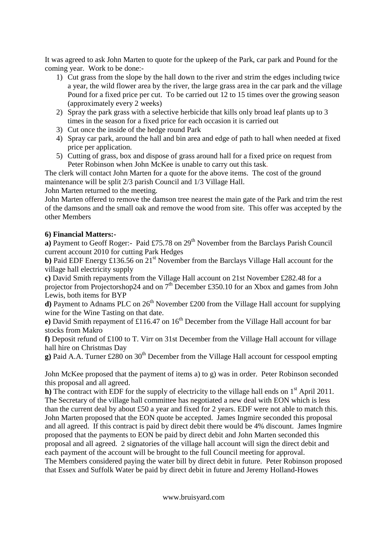It was agreed to ask John Marten to quote for the upkeep of the Park, car park and Pound for the coming year. Work to be done:-

- 1) Cut grass from the slope by the hall down to the river and strim the edges including twice a year, the wild flower area by the river, the large grass area in the car park and the village Pound for a fixed price per cut. To be carried out 12 to 15 times over the growing season (approximately every 2 weeks)
- 2) Spray the park grass with a selective herbicide that kills only broad leaf plants up to 3 times in the season for a fixed price for each occasion it is carried out
- 3) Cut once the inside of the hedge round Park
- 4) Spray car park, around the hall and bin area and edge of path to hall when needed at fixed price per application.
- 5) Cutting of grass, box and dispose of grass around hall for a fixed price on request from Peter Robinson when John McKee is unable to carry out this task.

The clerk will contact John Marten for a quote for the above items. The cost of the ground maintenance will be split 2/3 parish Council and 1/3 Village Hall.

John Marten returned to the meeting.

John Marten offered to remove the damson tree nearest the main gate of the Park and trim the rest of the damsons and the small oak and remove the wood from site. This offer was accepted by the other Members

## **6) Financial Matters:-**

**a**) Payment to Geoff Roger:- Paid £75.78 on 29<sup>th</sup> November from the Barclays Parish Council current account 2010 for cutting Park Hedges

**b**) Paid EDF Energy £136.56 on 21<sup>st</sup> November from the Barclays Village Hall account for the village hall electricity supply

**c)** David Smith repayments from the Village Hall account on 21st November £282.48 for a projector from Projectorshop24 and on  $7<sup>th</sup>$  December £350.10 for an Xbox and games from John Lewis, both items for BYP

**d**) Payment to Adnams PLC on  $26<sup>th</sup>$  November £200 from the Village Hall account for supplying wine for the Wine Tasting on that date.

**e**) David Smith repayment of £116.47 on 16<sup>th</sup> December from the Village Hall account for bar stocks from Makro

**f)** Deposit refund of £100 to T. Virr on 31st December from the Village Hall account for village hall hire on Christmas Day

**g**) Paid A.A. Turner £280 on 30<sup>th</sup> December from the Village Hall account for cesspool empting

John McKee proposed that the payment of items a) to g) was in order. Peter Robinson seconded this proposal and all agreed.

**h**) The contract with EDF for the supply of electricity to the village hall ends on  $1<sup>st</sup>$  April 2011. The Secretary of the village hall committee has negotiated a new deal with EON which is less than the current deal by about £50 a year and fixed for 2 years. EDF were not able to match this. John Marten proposed that the EON quote be accepted. James Ingmire seconded this proposal and all agreed. If this contract is paid by direct debit there would be 4% discount. James Ingmire proposed that the payments to EON be paid by direct debit and John Marten seconded this proposal and all agreed. 2 signatories of the village hall account will sign the direct debit and each payment of the account will be brought to the full Council meeting for approval. The Members considered paying the water bill by direct debit in future. Peter Robinson proposed that Essex and Suffolk Water be paid by direct debit in future and Jeremy Holland-Howes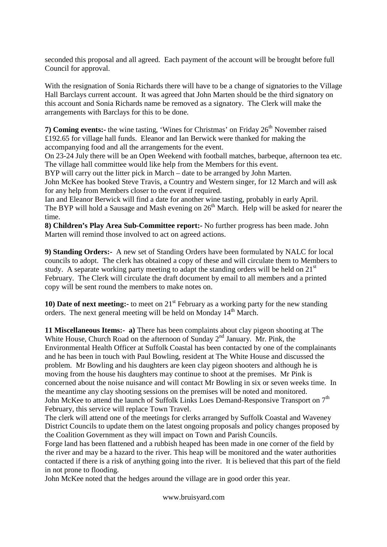seconded this proposal and all agreed. Each payment of the account will be brought before full Council for approval.

With the resignation of Sonia Richards there will have to be a change of signatories to the Village Hall Barclays current account. It was agreed that John Marten should be the third signatory on this account and Sonia Richards name be removed as a signatory. The Clerk will make the arrangements with Barclays for this to be done.

**7) Coming events:-** the wine tasting, 'Wines for Christmas' on Friday 26<sup>th</sup> November raised £192.65 for village hall funds. Eleanor and Ian Berwick were thanked for making the accompanying food and all the arrangements for the event.

On 23-24 July there will be an Open Weekend with football matches, barbeque, afternoon tea etc. The village hall committee would like help from the Members for this event.

BYP will carry out the litter pick in March – date to be arranged by John Marten.

John McKee has booked Steve Travis, a Country and Western singer, for 12 March and will ask for any help from Members closer to the event if required.

Ian and Eleanor Berwick will find a date for another wine tasting, probably in early April. The BYP will hold a Sausage and Mash evening on  $26<sup>th</sup>$  March. Help will be asked for nearer the time.

**8) Children's Play Area Sub-Committee report:-** No further progress has been made. John Marten will remind those involved to act on agreed actions.

**9) Standing Orders:-** A new set of Standing Orders have been formulated by NALC for local councils to adopt. The clerk has obtained a copy of these and will circulate them to Members to study. A separate working party meeting to adapt the standing orders will be held on  $21<sup>st</sup>$ February. The Clerk will circulate the draft document by email to all members and a printed copy will be sent round the members to make notes on.

**10) Date of next meeting:-** to meet on 21<sup>st</sup> February as a working party for the new standing orders. The next general meeting will be held on Monday  $14<sup>th</sup>$  March.

**11 Miscellaneous Items:- a)** There has been complaints about clay pigeon shooting at The White House, Church Road on the afternoon of Sunday  $2<sup>nd</sup>$  January. Mr. Pink, the Environmental Health Officer at Suffolk Coastal has been contacted by one of the complainants and he has been in touch with Paul Bowling, resident at The White House and discussed the problem. Mr Bowling and his daughters are keen clay pigeon shooters and although he is moving from the house his daughters may continue to shoot at the premises. Mr Pink is concerned about the noise nuisance and will contact Mr Bowling in six or seven weeks time. In the meantime any clay shooting sessions on the premises will be noted and monitored. John McKee to attend the launch of Suffolk Links Loes Demand-Responsive Transport on 7<sup>th</sup> February, this service will replace Town Travel.

The clerk will attend one of the meetings for clerks arranged by Suffolk Coastal and Waveney District Councils to update them on the latest ongoing proposals and policy changes proposed by the Coalition Government as they will impact on Town and Parish Councils.

Forge land has been flattened and a rubbish heaped has been made in one corner of the field by the river and may be a hazard to the river. This heap will be monitored and the water authorities contacted if there is a risk of anything going into the river. It is believed that this part of the field in not prone to flooding.

John McKee noted that the hedges around the village are in good order this year.

www.bruisyard.com